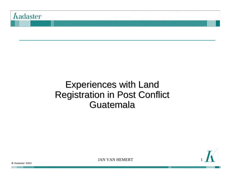

### Experiences with Land Registration in Post Conflict **Guatemala**



JAN VAN HEMERT

**©** Kadaster 2003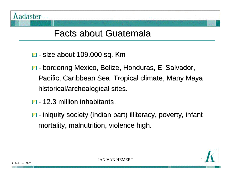

### Facts about Guatemala

- $\Box$  size about 109.000 sq. Km
- $\Box$  bordering Mexico, Belize, Honduras, El Salvador, Pacific, Caribbean Sea. Tropical climate, Many Maya historical/archealogical sites.
- $\Box$  12.3 million inhabitants.
- $\Box$  iniquity society (indian part) illiteracy, poverty, infant mortality, malnutrition, violence high.

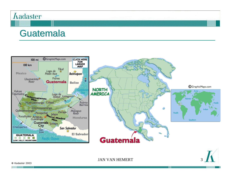#### *<u>Aadaster</u>*

### **Guatemala**



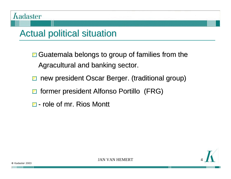## Actual political situation

- $\Box$  Guatemala belongs to group of families from the Agracultural and banking sector.
- new president Oscar Berger. (traditional group) Z
- former president Alfonso Portillo (FRG)  $\blacktriangleleft$
- $\Box$  role of mr. Rios Montt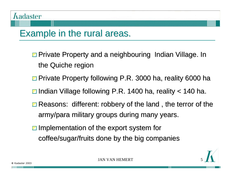## Example in the rural areas.

- **□ Private Property and a neighbouring Indian Village. In** the Quiche region
- **□ Private Property following P.R. 3000 ha, reality 6000 ha**
- $\Box$  Indian Village following P.R. 1400 ha, reality  $<$  140 ha.
- $\Box$  Reasons: different: robbery of the land, the terror of the army/para military groups during many years.
- $\Box$  Implementation of the export system for coffee/sugar/fruits done by the big companies

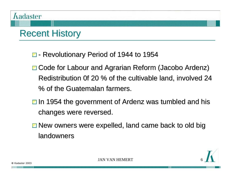# Recent History

- **□** Revolutionary Period of 1944 to 1954
- **□ Code for Labour and Agrarian Reform (Jacobo Ardenz)** Redistribution 0f 20 % of the cultivable land, involved 24 % of the Guatemalan farmers.
- $\Box$  In 1954 the government of Ardenz was tumbled and his changes were reversed.
- **□ New owners were expelled, land came back to old big** landowners

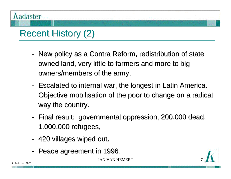# Recent History (2)

- New policy as a Contra Reform, redistribution of state owned land, very little to farmers and more to big owners/members of the army.
- Escalated to internal war, the longest in Latin America. Objective mobilisation of the poor to change on a radical way the country.
- Final result: governmental oppression, 200.000 dead, 1.000.000 refugees,
- 420 villages wiped out.
- Peace agreement in 1996.

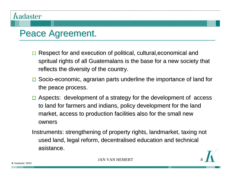## Peace Agreement.

- **□** Respect for and execution of political, cultural, economical and spritual rights of all Guatemalans is the base for a new society that reflects the diversity of the country.
- **□** Socio-economic, agrarian parts underline the importance of land for the peace process.
- **□ Aspects: development of a strategy for the development of access** to land for farmers and indians, policy development for the land market, access to production facilities also for the small new owners

Instruments: strengthening of property rights, landmarket, taxing not used land, legal reform, decentralised education and technical asistance.

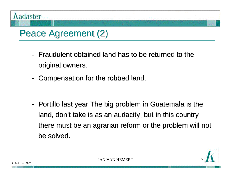

## Peace Agreement (2)

- Fraudulent obtained land has to be returned to the original owners.
- Compensation for the robbed land.
- Portillo last year The big problem in Guatemala is the land, don't take is as an audacity, but in this country there must be an agrarian reform or the problem will not be solved.

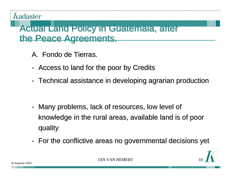### Actual Land Policy in Guatemala, after the Peace Agreements.

- A. Fondo de Tierras.
- Access to land for the poor by Credits
- Technical assistance in developing agrarian production
- Many problems, lack of resources, low level of knowledge in the rural areas, available land is of poor quality
- For the conflictive areas no governmental decisions yet

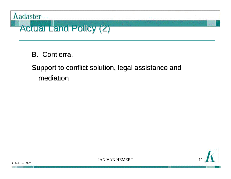

B. Contierra.

Support to conflict solution, legal assistance and mediation.

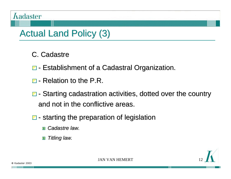# Actual Land Policy (3)

- C. Cadastre
- **□** Establishment of a Cadastral Organization.
- $\Box$  Relation to the P.R.
- $\Box$  Starting cadastration activities, dotted over the country and not in the conflictive areas.
- $\blacksquare$  starting the preparation of legislation
	- *Cadastre law.*
	- *Titling law.*13

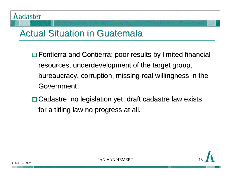# Actual Situation in Guatemala

- $\Box$  Fontierra and Contierra: poor results by limited financial resources, underdevelopment of the target group, bureaucracy, corruption, missing real willingness in the Government.
- **□ Cadastre: no legislation yet, draft cadastre law exists,** for a titling law no progress at all.

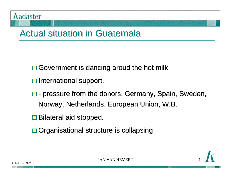

## Actual situation in Guatemala

- $\Box$  Government is dancing aroud the hot milk
- $\Box$  International support.
- $\blacksquare$  pressure from the donors. Germany, Spain, Sweden, Norway, Netherlands, European Union, W.B.
- **□** Bilateral aid stopped.
- **□** Organisational structure is collapsing

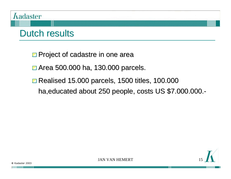#### **Ladaster**

## Dutch results

**□ Project of cadastre in one area** 

**□ Area 500.000 ha, 130.000 parcels.** 

**□ Realised 15.000 parcels, 1500 titles, 100.000** ha, educated about 250 people, costs US \$7.000.000.-